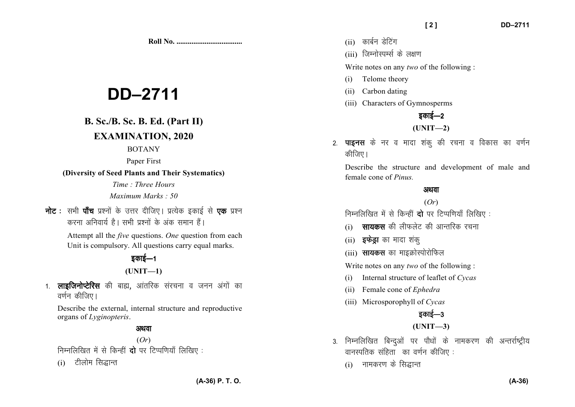**Roll No. ...................................** 

# **DD–2711**

# **B. Sc./B. Sc. B. Ed. (Part II)**

## **EXAMINATION, 2020**

#### BOTANY

#### Paper First

#### **(Diversity of Seed Plants and Their Systematics)**

*Time : Three Hours Maximum Marks : 50*

**नोट** : सभी **पाँच** प्रश्नों के उत्तर दीजिए। प्रत्येक इकाई से **एक** प्रश्न *djuk vfuok;Z gSA lHkh iz'uksa d¢ vad leku gSaA* 

> Attempt all the *five* questions. *One* question from each Unit is compulsory. All questions carry equal marks.

# **B**able 540

### **(UNIT—1)**

1. **लाइजिनोप्टेरिस** की बाह्य, आंतरिक संरचना व जनन अंगों का **|** वर्णन कीजिए |

Describe the external, internal structure and reproductive organs of *Lyginopteris*.

#### अथवा

(*Or*) *fuEufyf[kr esa ls fdUgha nks ij fVIif.k;k¡ fyf[k, %* 

(i) *Vhykse fl)kUr*

- (ii) कार्बन डेटिंग
- (iii) जिम्नोस्पर्म्स के लक्षण

Write notes on any *two* of the following :

- (i) Telome theory
- (ii) Carbon dating
- (iii) Characters of Gymnosperms

*z*काई—2 **(UNIT—2)** 

2. **पाइनस** के नर व मादा शंकू की रचना व विकास का वर्णन *कीजिए* ।

Describe the structure and development of male and female cone of *Pinus.*

#### अथवा

#### (*Or*)

*fuEufyf[kr esa ls fdUgha nks ij fVIif.k;k¡ fyf[k, %* 

- (i) **सायकस** की लीफलेट की आन्तरिक रचना
- (ii) **इफेड्रा** का मादा शंकु
- (iii) **सायकस** का माइक्रोस्पोरोफिल

Write notes on any *two* of the following :

- (i) Internal structure of leaflet of *Cycas*
- (ii) Female cone of *Ephedra*
- (iii) Microsporophyll of *Cycas*

# *ganई—3*

#### **(UNIT—3)**

- 3. निम्नलिखित बिन्दुओं पर पौधों के नामकरण की अन्तर्राष्ट्रीय *okuLifrd lafgrk dk o.kZu dhft, %* 
	- (i) नामकरण के सिद्धान्त

**(A-36) P. T. O.**